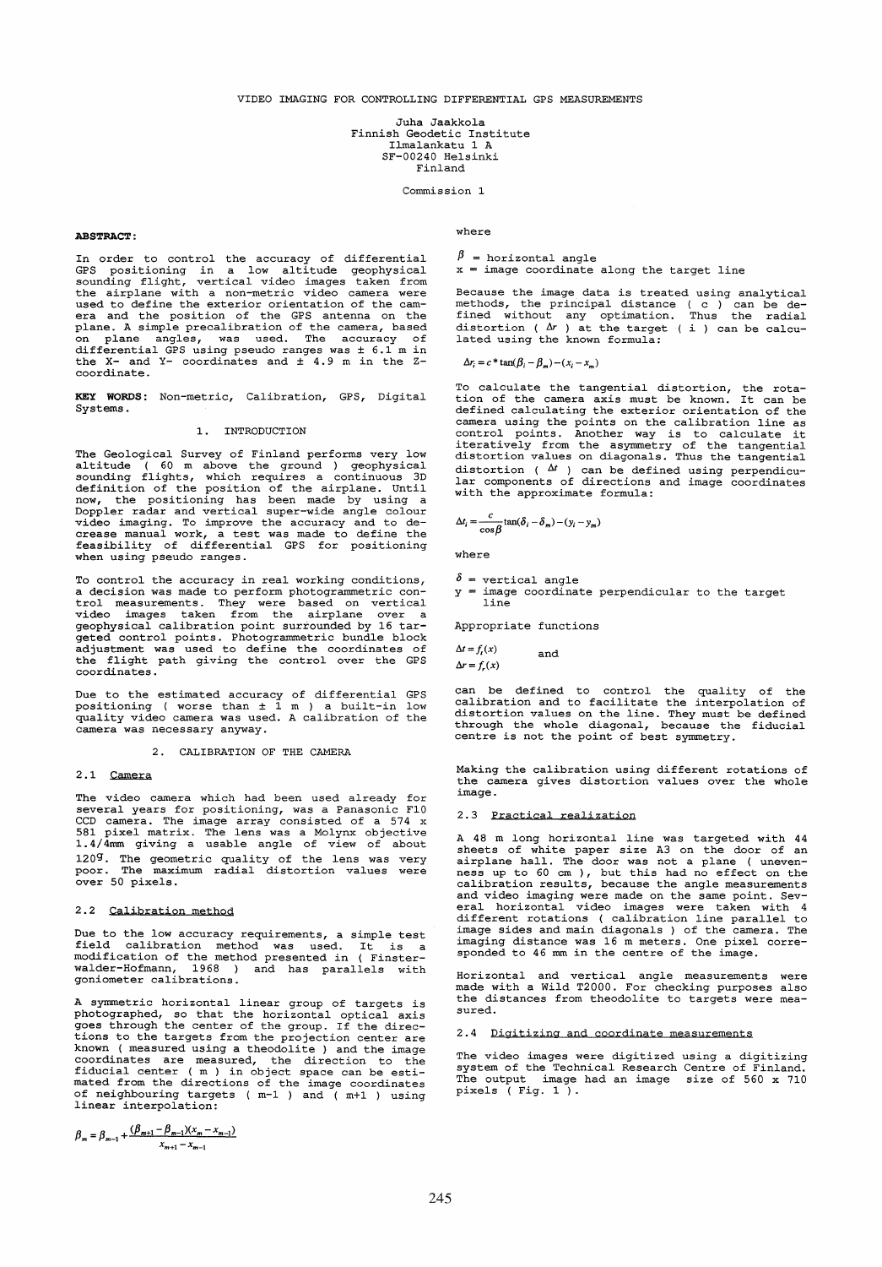Juha Jaakkola Finnish Geodetic Institute Ilmalankatu 1 A SF-00240 Helsinki Finland

Commission 1

## ABSTRACT:

In order to control the accuracy of differential GPS positioning in a low altitude geophysical sounding flight, vertical video images taken from the airplane with a non-metric video camera were used to define the exterior orientation of the cam-era and the position of the GPS antenna on the plane. A simple precalibration of the camera, based on plane angles, was used. The accuracy of differential GPS using pseudo ranges was ± 6.1 m in the X- and Y- coordinates and ± 4.9 m in the Zcoordinate.

KEY WORDS: Non-metric, Calibration, GPS, Digital Systems.

# 1. INTRODUCTION

The Geological Survey of Finland performs very low altitude ( 60 m above the ground ) geophysical sounding flights, which requires a continuous 3D definition of the position of the airplane. Until<br>now, the positioning has been made by using a<br>Doppler radar and vertical super-wide angle colour<br>video imaging. To improve the accuracy and to de-<br>crease manual work, a tes when using pseudo ranges.

To control the accuracy in real working conditions, adecision was made to perform photograrometric con- trol measurements. They were based on vertical I consider the measurements. They were based on vertical<br>video images taken from the airplane over a geophysical calibration point surrounded by 16 targeted control points. Photogrammetric bundle block adjustment was used to define the coordinates of the flight path giving the control over the GPS coordinates.

Due to the estimated accuracy of differential GPS positioning ( worse than ± 1 m ) a built-in low quality video camera was used. A calibration of the camera was necessary anyway.

2. CALIBRATION OF THE CAMERA

## 2.1 Camera

The video camera which had been used already for several years for positioning, was a Panasonic FI0 CCD camera. The image array consisted of a 574 x<br>581 pixel matrix. The lens was a Molynx objective<br>1.4/4mm giving a usable angle of view of about 120g. The geometric quality of the lens was very poor. The maximum radial distortion values were over 50 pixels.

## 2.2 Calibration method

Due to the low accuracy requirements, a simple test field calibration method was used. It is a modification of the method presented in ( Finster-walder-Hofmann, 1968 ) and has parallels with goniometer calibrations.

A symmetric horizontal linear group of targets is photographed, so that the horizontal optical axis goes through the center of the group. If the directions to the targets from the projection center are known ( measured using a theodolite ) and the image coordinates are measured, the direction to the fiducial center ( m ) in object space can be esti-mated from the directions of the image coordinates of neighbouring targets ( m-l ) and ( m+l ) using linear interpolation:

$$
\beta_m = \beta_{m-1} + \frac{(\beta_{m+1} - \beta_{m-1})(x_m - x_{m-1})}{x_{m+1} - x_{m-1}}
$$

## where

 $\beta$  = horizontal angle  $x = \frac{1}{2}$  image coordinate along the target line

Because the image data is treated using analytical methods, the principal distance ( c ) can be de-fined without any optimation. Thus the radial distortion ( $\Delta r$ ) at the target (i) can be calculated using the known formula:

 $\Delta r_i = c * \tan(\beta_i - \beta_m) - (x_i - x_m)$ 

To calculate the tangential distortion, the rota-tion of the camera axis must be known. It can be defined calculating the exterior orientation of the camera using the points on the calibration line as control points. Another way is to calculate it iteratively from the asymmetry of the tangential distortion values on diagonals. Thus the tangential distortion ( $\Delta t$ ) can be defined using perpendicular components of directions and image coordinates with the approximate formula:

 $\Delta t_i = \frac{c}{\cos \theta}$  $\frac{c}{\cos\beta}\tan(\delta_i-\delta_m)-(y_i-y_m)$ 

where

 $\delta$  = vertical angle  $y = image coordinate perpendicular to the target$ line

Appropriate functions

 $\Delta t = f_t(x)$  $\Delta r = f_r(x)$ and

can be defined to control the quality of the calibration and to facilitate the interpolation of distortion values on the line. They must be defined through the whole diagonal, because the fiducial centre is not the point of best symmetry.

Making the calibration using different rotations of the camera gives distortion values over the whole image.

### 2.3 Practical realization

A 48 m long horizontal line was targeted with 44 sheets of white paper size A3 on the door of an airplane hall. The door was not a plane ( uneven-ness up to 60 cm ), but this had no effect on the calibration results, because the angle measurements and video imaging were made on the same point. Sev-eral horizontal video images were taken with 4 different rotations ( calibration line parallel to image sides and main diagonals ) of the camera. The imaging distance was 16 m meters. One pixel corre-sponded to 46 mm in the centre of the image.

Horizontal and vertical angle measurements were made with a Wild T2000. For checking purposes also the distances from theodolite to targets were measured.

### 2.4 Digitizing and coordinate measurements

The video images were digitized using a digitizing<br>system of the Technical Research Centre of Finland. The output image had an image size of 560 x 710 pixels ( Fig. 1 ).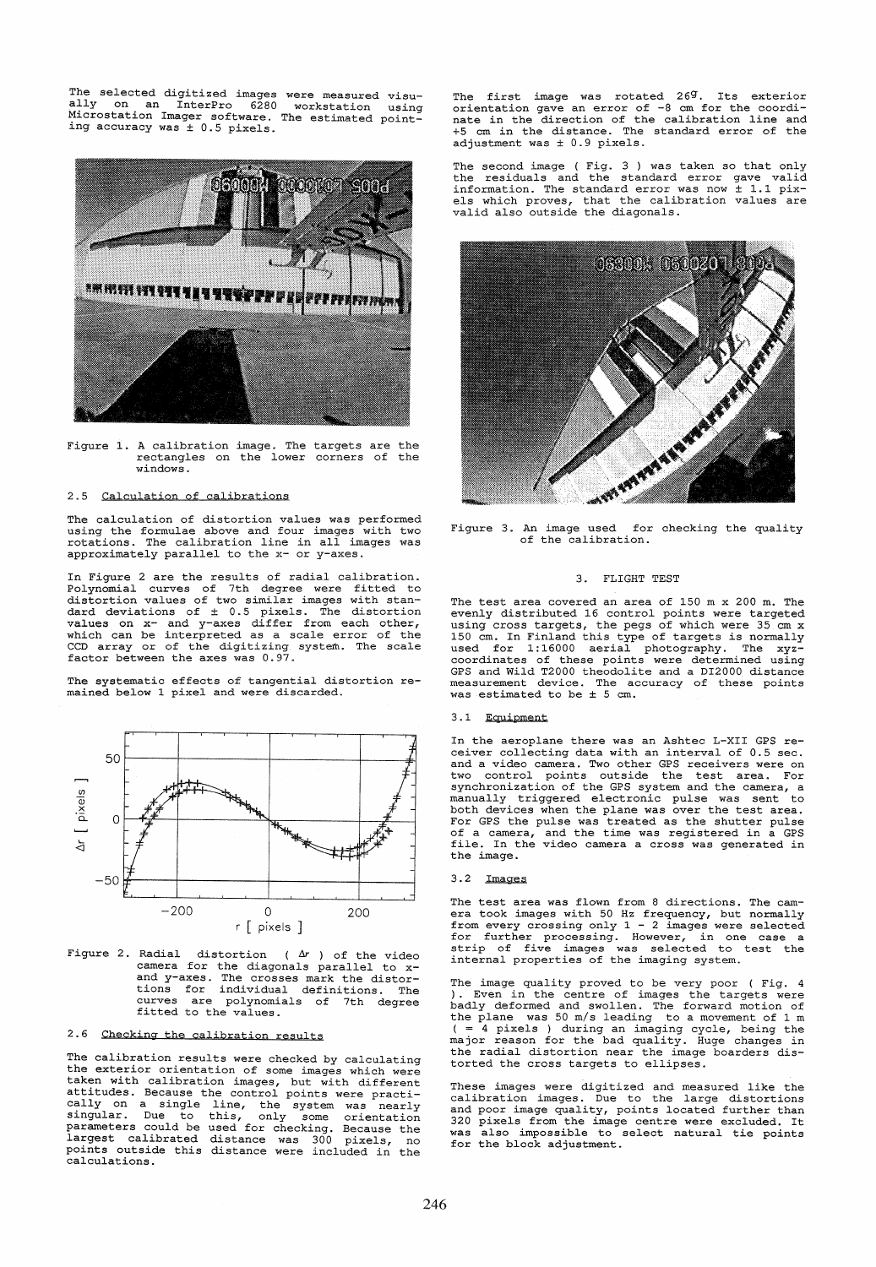The selected digitized images were measured visu-ally on an InterPro 6280 workstation using Microstation Imager software. The estimated pointing accuracy was ± 0.5 pixels.



Figure 1. A calibration image. The targets are the rectangles on the lower corners of the windows.

## 2.5 Calculation of calibrations

The calculation of distortion values was performed<br>using the formulae above and four images with two<br>rotations. The calibration line in all images was<br>approximately parallel to the x- or y-axes.

In Figure 2 are the results of radial calibration. Polynomial curves of 7th degree were fitted to distortion values of two similar images with standard deviations of ± 0.5 pixels. The distortion values on x- and y-axes differ from each other, which can be interpreted as a scale error of the CCD array or of the digitizing system.. The scale factor between the axes was 0.97.

The systematic effects of tangential distortion remained below 1 pixel and were discarded.



Figure 2. Radial distortion ( $\Delta r$ ) of the video<br>camera for the diagonals parallel to x-<br>and y-axes. The crosses mark the distor-<br>tions for individual definitions. The<br>curves are polynomials of 7th degree<br>fitted to the va

# 2.6 Checking the calibration results

The calibration results were checked by calculating the exterior orientation of some images which were taken with calibration images, but with different attitudes. Because the control points were practi-cally on a single line, the system was nearly singular. Due to this, only some orientation parameters could be used for checking. Because the largest calibrated distance was 300 pixels, no points outside this distance were included in the calculations.

The first image was rotated 269. Its exterior orientation gave an error of -8 cm for the coordi-nate in the direction of the calibration line and +5 cm in the distance. The standard error of the adjustment was ± 0.9 pixels.

The second image (Fig. 3) was taken so that only<br>the residuals and the standard error gave valid<br>information. The standard error was now  $\pm$  1.1 pix-<br>els which proves, that the calibration values are<br>valid also outside th



of the calibration.

# 3. FLIGHT TEST

The test area covered an area of 150 m x 200 m. The evenly distributed 16 control points were targeted using cross targets, the pegs of which were 35 cm x 150 cm. In Finland this type of targets is normally used for 1:16000 aerial photography. The xyz-coordinates of these points were determined using GPS and Wild T2000 theodolite and a DI2000 distance measurement device. The accuracy of these points was estimated to be ± 5 cm.

# 3.1 Equipment

In the aeroplane there was an Ashtec L-XII GPS receiver collecting data with an interval of 0.5 sec. and a video camera. Two other GPS receivers were on two control points outside the test area. For synchronization of the GPS system and the camera, a manually triggered electronic pulse was sent both devices when the plane was over the test area. For GPS the pulse was treated as the shutter pulse of a camera, and the time was registered in a GPS file. In the video camera a cross was generated in the image.

### $3.2$   $Imaces$

The test area was flown from 8 directions. The cam-<br>era took images with 50 Hz frequency, but normally<br>from every crossing only 1 - 2 images were selected<br>for further processing. However, in one case<br>strip of five images w

The image quality proved to be very poor ( Fig. 4). Even in the centre of images the targets were badly deformed and swollen. The forward motion of the plane was 50 *mls* leading to a movement of 1 m ( = 4 pixels ) during an imaging cycle, being the major reason for the bad quality. Huge changes in the radial distortion near the image boarders distorted the cross targets to ellipses.

These images were digitized and measured like the calibration images. Due to the large distortions<br>and poor image quality, points located further than<br>320 pixels from the image centre were excluded. It<br>was also impossible to select natural tie points for the block adjustment.